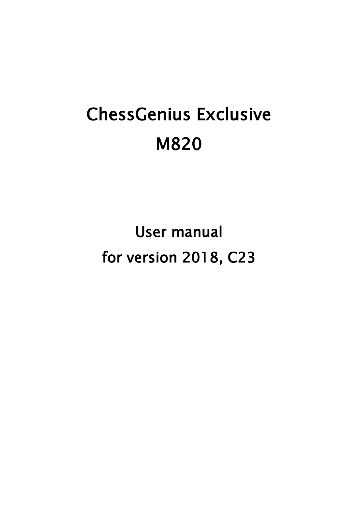# ChessGenius Exclusive M820

User manual for version 2018, C23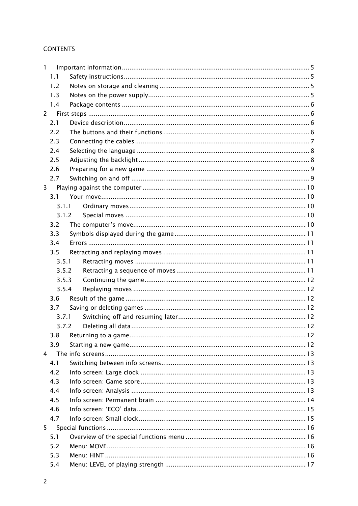# **CONTENTS**

| 1              |           |  |
|----------------|-----------|--|
|                | 1.1       |  |
|                | 1.2       |  |
|                | 1.3       |  |
|                | 1.4       |  |
| $\overline{2}$ |           |  |
|                | 2.1       |  |
|                | 2.2       |  |
|                | 2.3       |  |
|                | 2.4       |  |
|                | 2.5       |  |
|                | 2.6       |  |
|                | 2.7       |  |
| 3              |           |  |
|                | 3.1       |  |
|                | 3.1.1     |  |
|                | 3.1.2     |  |
|                | 3.2       |  |
|                | 3.3       |  |
|                | 3.4       |  |
|                | 3.5       |  |
|                | 3.5.1     |  |
|                | 3.5.2     |  |
|                | 3.5.3     |  |
|                | 3.5.4     |  |
|                | 3.6       |  |
|                | 3.7       |  |
|                | 3.7.1     |  |
|                | 3.7.2     |  |
|                | 3.8       |  |
|                | 3.9       |  |
|                | $4 \quad$ |  |
|                | 4.1       |  |
|                | 4.2       |  |
|                | 4.3       |  |
|                | 4.4       |  |
|                | 4.5       |  |
|                | 4.6       |  |
|                | 4.7       |  |
|                |           |  |
| 5              |           |  |
|                | 5.1       |  |
|                | 5.2       |  |
|                | 5.3       |  |
|                | 5.4       |  |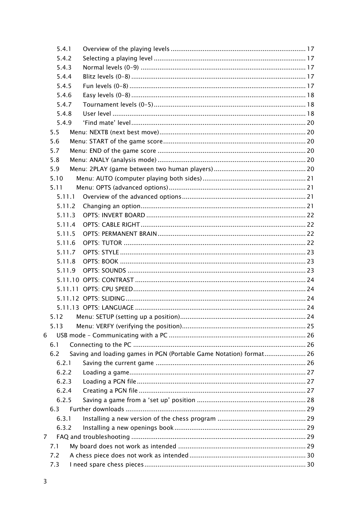| 5.4.1  |                                                                    |  |
|--------|--------------------------------------------------------------------|--|
| 5.4.2  |                                                                    |  |
| 5.4.3  |                                                                    |  |
| 5.4.4  |                                                                    |  |
| 5.4.5  |                                                                    |  |
| 5.4.6  |                                                                    |  |
| 5.4.7  |                                                                    |  |
| 5.4.8  |                                                                    |  |
| 5.4.9  |                                                                    |  |
| 5.5    |                                                                    |  |
| 5.6    |                                                                    |  |
| 5.7    |                                                                    |  |
| 5.8    |                                                                    |  |
| 5.9    |                                                                    |  |
| 5.10   |                                                                    |  |
| 5.11   |                                                                    |  |
| 5.11.1 |                                                                    |  |
| 5.11.2 |                                                                    |  |
| 5.11.3 |                                                                    |  |
| 5.11.4 |                                                                    |  |
| 5.11.5 |                                                                    |  |
| 5.11.6 |                                                                    |  |
| 5.11.7 |                                                                    |  |
| 5.11.8 |                                                                    |  |
| 5.11.9 |                                                                    |  |
|        |                                                                    |  |
|        |                                                                    |  |
|        |                                                                    |  |
|        |                                                                    |  |
| 5.12   |                                                                    |  |
| 5.13   |                                                                    |  |
| 6      |                                                                    |  |
| 6.1    |                                                                    |  |
| 6.2    | Saving and loading games in PGN (Portable Game Notation) format 26 |  |
| 6.2.1  |                                                                    |  |
| 6.2.2  |                                                                    |  |
| 6.2.3  |                                                                    |  |
| 6.2.4  |                                                                    |  |
| 6.2.5  |                                                                    |  |
| 6.3    |                                                                    |  |
| 6.3.1  |                                                                    |  |
| 6.3.2  |                                                                    |  |
| 7      |                                                                    |  |
| 7.1    |                                                                    |  |
| 7.2    |                                                                    |  |
| 7.3    |                                                                    |  |
|        |                                                                    |  |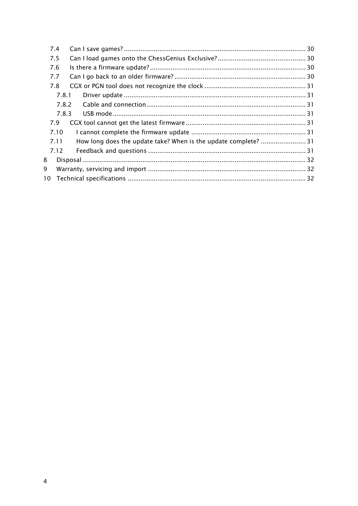| 7.4 |       |  |
|-----|-------|--|
| 7.5 |       |  |
| 7.6 |       |  |
| 7.7 |       |  |
| 7.8 |       |  |
|     | 7.8.1 |  |
|     | 7.8.2 |  |
|     | 7.8.3 |  |
| 7.9 |       |  |
|     | 7.10  |  |
|     | 7.11  |  |
|     | 7.12  |  |
| 8   |       |  |
| 9   |       |  |
| 10  |       |  |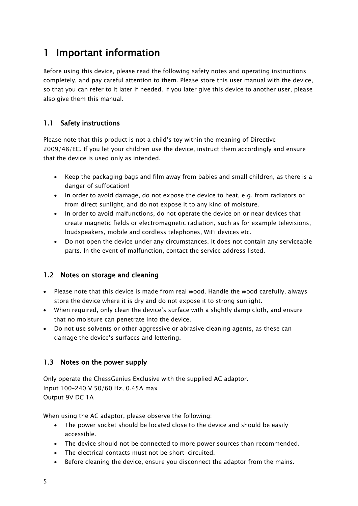# <span id="page-4-0"></span>1 Important information

Before using this device, please read the following safety notes and operating instructions completely, and pay careful attention to them. Please store this user manual with the device, so that you can refer to it later if needed. If you later give this device to another user, please also give them this manual.

# <span id="page-4-1"></span>1.1 Safety instructions

Please note that this product is not a child's toy within the meaning of Directive 2009/48/EC. If you let your children use the device, instruct them accordingly and ensure that the device is used only as intended.

- Keep the packaging bags and film away from babies and small children, as there is a danger of suffocation!
- In order to avoid damage, do not expose the device to heat, e.g. from radiators or from direct sunlight, and do not expose it to any kind of moisture.
- In order to avoid malfunctions, do not operate the device on or near devices that create magnetic fields or electromagnetic radiation, such as for example televisions, loudspeakers, mobile and cordless telephones, WiFi devices etc.
- Do not open the device under any circumstances. It does not contain any serviceable parts. In the event of malfunction, contact the service address listed.

# <span id="page-4-2"></span>1.2 Notes on storage and cleaning

- Please note that this device is made from real wood. Handle the wood carefully, always store the device where it is dry and do not expose it to strong sunlight.
- When required, only clean the device's surface with a slightly damp cloth, and ensure that no moisture can penetrate into the device.
- Do not use solvents or other aggressive or abrasive cleaning agents, as these can damage the device's surfaces and lettering.

# <span id="page-4-3"></span>1.3 Notes on the power supply

Only operate the ChessGenius Exclusive with the supplied AC adaptor. Input 100–240 V 50/60 Hz, 0.45A max Output 9V DC 1A

When using the AC adaptor, please observe the following:

- The power socket should be located close to the device and should be easily accessible.
- The device should not be connected to more power sources than recommended.
- The electrical contacts must not be short-circuited.
- Before cleaning the device, ensure you disconnect the adaptor from the mains.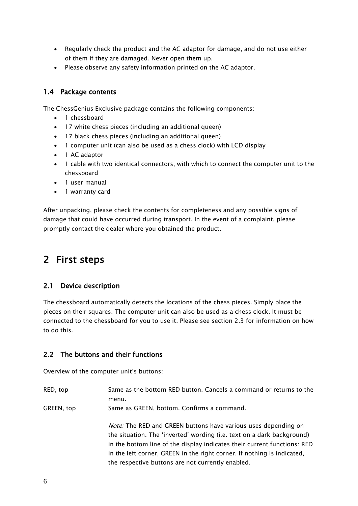- Regularly check the product and the AC adaptor for damage, and do not use either of them if they are damaged. Never open them up.
- <span id="page-5-0"></span>Please observe any safety information printed on the AC adaptor.

#### 1.4 Package contents

The ChessGenius Exclusive package contains the following components:

- 1 chessboard
- 17 white chess pieces (including an additional queen)
- 17 black chess pieces (including an additional queen)
- 1 computer unit (can also be used as a chess clock) with LCD display
- 1 AC adaptor
- 1 cable with two identical connectors, with which to connect the computer unit to the chessboard
- 1 user manual
- 1 warranty card

After unpacking, please check the contents for completeness and any possible signs of damage that could have occurred during transport. In the event of a complaint, please promptly contact the dealer where you obtained the product.

# <span id="page-5-1"></span>2 First steps

# <span id="page-5-2"></span>2.1 Device description

The chessboard automatically detects the locations of the chess pieces. Simply place the pieces on their squares. The computer unit can also be used as a chess clock. It must be connected to the chessboard for you to use it. Please see section [2.3](#page-6-0) for information on how to do this.

#### <span id="page-5-3"></span>2.2 The buttons and their functions

Overview of the computer unit's buttons:

- RED, top Same as the bottom RED button. Cancels a command or returns to the menu.
- GREEN, top Same as GREEN, bottom. Confirms a command.

Note: The RED and GREEN buttons have various uses depending on the situation. The 'inverted' wording (i.e. text on a dark background) in the bottom line of the display indicates their current functions: RED in the left corner, GREEN in the right corner. If nothing is indicated, the respective buttons are not currently enabled.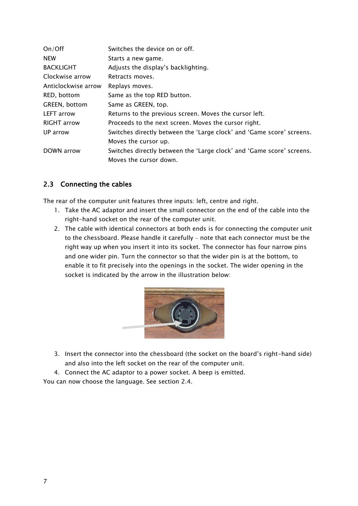| On/Off              | Switches the device on or off.                                        |
|---------------------|-----------------------------------------------------------------------|
| <b>NEW</b>          | Starts a new game.                                                    |
| <b>BACKLIGHT</b>    | Adjusts the display's backlighting.                                   |
| Clockwise arrow     | Retracts moves.                                                       |
| Anticlockwise arrow | Replays moves.                                                        |
| RED, bottom         | Same as the top RED button.                                           |
| GREEN, bottom       | Same as GREEN, top.                                                   |
| <b>LEFT</b> arrow   | Returns to the previous screen. Moves the cursor left.                |
| RIGHT arrow         | Proceeds to the next screen. Moves the cursor right.                  |
| UP arrow            | Switches directly between the 'Large clock' and 'Game score' screens. |
|                     | Moves the cursor up.                                                  |
| DOWN arrow          | Switches directly between the 'Large clock' and 'Game score' screens. |
|                     | Moves the cursor down.                                                |

# <span id="page-6-0"></span>2.3 Connecting the cables

The rear of the computer unit features three inputs: left, centre and right.

- 1. Take the AC adaptor and insert the small connector on the end of the cable into the right-hand socket on the rear of the computer unit.
- 2. The cable with identical connectors at both ends is for connecting the computer unit to the chessboard. Please handle it carefully – note that each connector must be the right way up when you insert it into its socket. The connector has four narrow pins and one wider pin. Turn the connector so that the wider pin is at the bottom, to enable it to fit precisely into the openings in the socket. The wider opening in the socket is indicated by the arrow in the illustration below:

<span id="page-6-1"></span>

- 3. Insert the connector into the chessboard (the socket on the board's right-hand side) and also into the left socket on the rear of the computer unit.
- 4. Connect the AC adaptor to a power socket. A beep is emitted.

You can now choose the language. See section [2.4.](#page-7-0)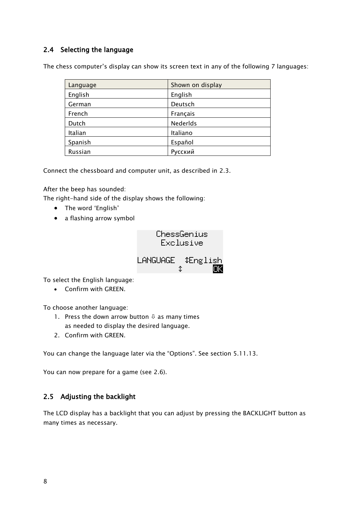# <span id="page-7-0"></span>2.4 Selecting the language

The chess computer's display can show its screen text in any of the following 7 languages:

| Language | Shown on display |
|----------|------------------|
| English  | English          |
| German   | Deutsch          |
| French   | Français         |
| Dutch    | Nederlds         |
| Italian  | Italiano         |
| Spanish  | Español          |
| Russian  | Русский          |

Connect the chessboard and computer unit, as described in [2.3.](#page-6-0)

After the beep has sounded:

The right-hand side of the display shows the following:

- The word 'English'
- a flashing arrow symbol



To select the English language:

Confirm with GREEN.

To choose another language:

- 1. Press the down arrow button  $\theta$  as many times as needed to display the desired language.
- 2. Confirm with GREEN.

You can change the language later via the "Options". See section [5.11.13.](#page-23-3)

<span id="page-7-1"></span>You can now prepare for a game (see [2.6\)](#page-8-0).

# 2.5 Adjusting the backlight

The LCD display has a backlight that you can adjust by pressing the BACKLIGHT button as many times as necessary.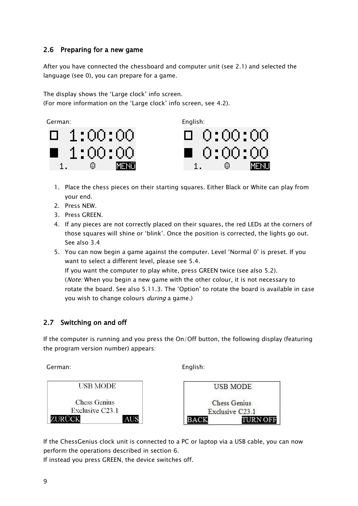# <span id="page-8-0"></span>2.6 Preparing for a new game

After you have connected the chessboard and computer unit (see [2.1\)](#page-5-2) and selected the language (see [0\)](#page-6-1), you can prepare for a game.

The display shows the 'Large clock' info screen. (For more information on the 'Large clock' info screen, see [4.2\)](#page-12-2).





- 1. Place the chess pieces on their starting squares. Either Black or White can play from your end.
- 2. Press NEW.
- 3. Press GREEN.
- 4. If any pieces are not correctly placed on their squares, the red LEDs at the corners of those squares will shine or 'blink'. Once the position is corrected, the lights go out. See also [3.4](#page-10-1)
- 5. You can now begin a game against the computer. Level 'Normal 0' is preset. If you want to select a different level, please see [5.4.](#page-16-0) If you want the computer to play white, press GREEN twice (see also [5.2\)](#page-15-2). (Note: When you begin a new game with the other colour, it is not necessary to rotate the board. See also [5.11.3.](#page-21-0) The 'Option' to rotate the board is available in case

# <span id="page-8-1"></span>2.7 Switching on and off

If the computer is running and you press the On/Off button, the following display (featuring the program version number) appears:

German: English:





If the ChessGenius clock unit is connected to a PC or laptop via a USB cable, you can now perform the operations described in section 6.

If instead you press GREEN, the device switches off.

you wish to change colours *during* a game.)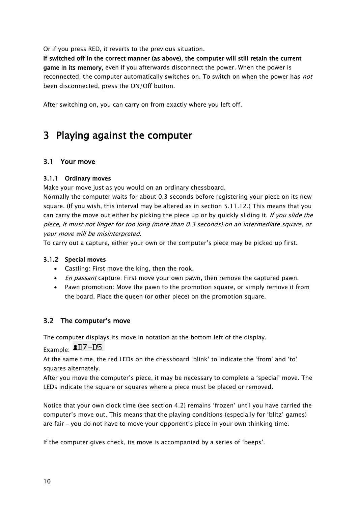Or if you press RED, it reverts to the previous situation.

If switched off in the correct manner (as above), the computer will still retain the current game in its memory, even if you afterwards disconnect the power. When the power is reconnected, the computer automatically switches on. To switch on when the power has *not* been disconnected, press the ON/Off button.

<span id="page-9-0"></span>After switching on, you can carry on from exactly where you left off.

# 3 Playing against the computer

# <span id="page-9-1"></span>3.1 Your move

#### <span id="page-9-2"></span>3.1.1 Ordinary moves

Make your move just as you would on an ordinary chessboard.

Normally the computer waits for about 0.3 seconds before registering your piece on its new square. (If you wish, this interval may be altered as in section [5.11.12.](#page-23-2)) This means that you can carry the move out either by picking the piece up or by quickly sliding it. If you slide the piece, it must not linger for too long (more than 0.3 seconds) on an intermediate square, or your move will be misinterpreted.

<span id="page-9-3"></span>To carry out a capture, either your own or the computer's piece may be picked up first.

#### 3.1.2 Special moves

- Castling: First move the king, then the rook.
- En passant capture: First move your own pawn, then remove the captured pawn.
- Pawn promotion: Move the pawn to the promotion square, or simply remove it from the board. Place the queen (or other piece) on the promotion square.

# <span id="page-9-4"></span>3.2 The computer's move

The computer displays its move in notation at the bottom left of the display.

Example: **1**D7-D5

At the same time, the red LEDs on the chessboard 'blink' to indicate the 'from' and 'to' squares alternately.

After you move the computer's piece, it may be necessary to complete a 'special' move. The LEDs indicate the square or squares where a piece must be placed or removed.

Notice that your own clock time (see section [4.2\)](#page-12-2) remains 'frozen' until you have carried the computer's move out. This means that the playing conditions (especially for 'blitz' games) are fair – you do not have to move your opponent's piece in your own thinking time.

If the computer gives check, its move is accompanied by a series of 'beeps'.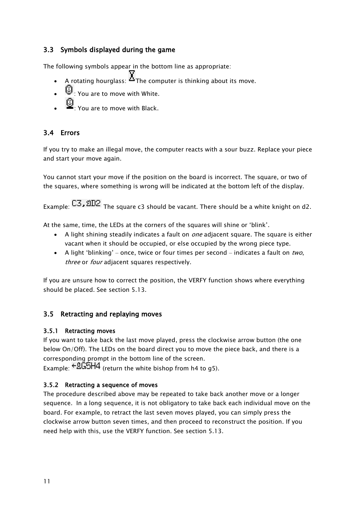# <span id="page-10-0"></span>3.3 Symbols displayed during the game

The following symbols appear in the bottom line as appropriate:

- A rotating hourglass:  $\sum_{n=1}^{\infty}$  The computer is thinking about its move.
- $\mathbb{C}$  : You are to move with White.
- : You are to move with Black.

# <span id="page-10-1"></span>3.4 Errors

If you try to make an illegal move, the computer reacts with a sour buzz. Replace your piece and start your move again.

You cannot start your move if the position on the board is incorrect. The square, or two of the squares, where something is wrong will be indicated at the bottom left of the display.

Example:  $C3$ ,  $2D2$  The square c3 should be vacant. There should be a white knight on d2.

At the same, time, the LEDs at the corners of the squares will shine or 'blink'.

- A light shining steadily indicates a fault on *one* adjacent square. The square is either vacant when it should be occupied, or else occupied by the wrong piece type.
- A light 'blinking' once, twice or four times per second indicates a fault on two, three or *four* adjacent squares respectively.

<span id="page-10-2"></span>If you are unsure how to correct the position, the VERFY function shows where everything should be placed. See section [5.13.](#page-24-0)

# 3.5 Retracting and replaying moves

# <span id="page-10-3"></span>3.5.1 Retracting moves

If you want to take back the last move played, press the clockwise arrow button (the one below On/Off). The LEDs on the board direct you to move the piece back, and there is a corresponding prompt in the bottom line of the screen.

Example:  $+8G5H4$  (return the white bishop from h4 to g5).

# <span id="page-10-4"></span>3.5.2 Retracting a sequence of moves

The procedure described above may be repeated to take back another move or a longer sequence. In a long sequence, it is not obligatory to take back each individual move on the board. For example, to retract the last seven moves played, you can simply press the clockwise arrow button seven times, and then proceed to reconstruct the position. If you need help with this, use the VERFY function. See section [5.13.](#page-24-0)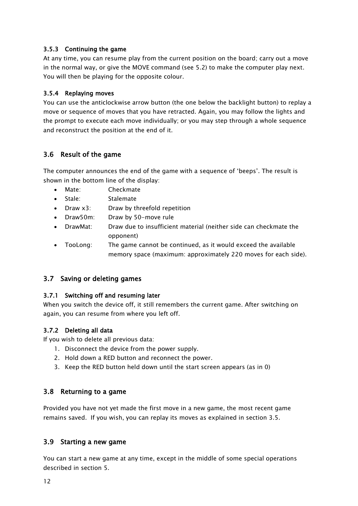#### <span id="page-11-0"></span>3.5.3 Continuing the game

At any time, you can resume play from the current position on the board; carry out a move in the normal way, or give the MOVE command (see [5.2\)](#page-15-2) to make the computer play next. You will then be playing for the opposite colour.

#### <span id="page-11-1"></span>3.5.4 Replaying moves

You can use the anticlockwise arrow button (the one below the backlight button) to replay a move or sequence of moves that you have retracted. Again, you may follow the lights and the prompt to execute each move individually; or you may step through a whole sequence and reconstruct the position at the end of it.

#### <span id="page-11-2"></span>3.6 Result of the game

The computer announces the end of the game with a sequence of 'beeps'. The result is shown in the bottom line of the display:

- Mate: Checkmate
- Stale: Stalemate
- Draw x3: Draw by threefold repetition
- Draw50m: Draw by 50-move rule
- DrawMat: Draw due to insufficient material (neither side can checkmate the opponent)
- TooLong: The game cannot be continued, as it would exceed the available memory space (maximum: approximately 220 moves for each side).

#### <span id="page-11-3"></span>3.7 Saving or deleting games

#### <span id="page-11-4"></span>3.7.1 Switching off and resuming later

When you switch the device off, it still remembers the current game. After switching on again, you can resume from where you left off.

#### <span id="page-11-5"></span>3.7.2 Deleting all data

If you wish to delete all previous data:

- 1. Disconnect the device from the power supply.
- 2. Hold down a RED button and reconnect the power.
- <span id="page-11-6"></span>3. Keep the RED button held down until the start screen appears (as in [0\)](#page-6-1)

#### 3.8 Returning to a game

<span id="page-11-7"></span>Provided you have not yet made the first move in a new game, the most recent game remains saved. If you wish, you can replay its moves as explained in section [3.5.](#page-10-2)

#### 3.9 Starting a new game

You can start a new game at any time, except in the middle of some special operations described in section [5.](#page-15-0)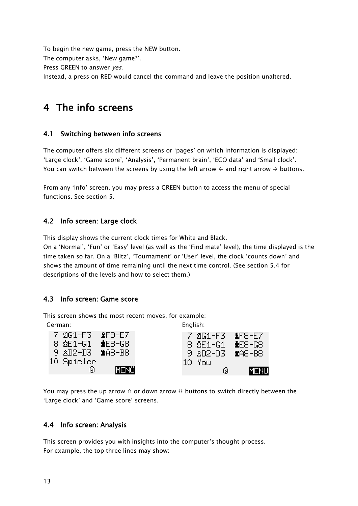<span id="page-12-5"></span>To begin the new game, press the NEW button. The computer asks, 'New game?'. Press GREEN to answer yes. Instead, a press on RED would cancel the command and leave the position unaltered.

# <span id="page-12-0"></span>4 The info screens

# <span id="page-12-1"></span>4.1 Switching between info screens

The computer offers six different screens or 'pages' on which information is displayed: 'Large clock', 'Game score', 'Analysis', 'Permanent brain', 'ECO data' and 'Small clock'. You can switch between the screens by using the left arrow  $\Leftrightarrow$  and right arrow  $\Leftrightarrow$  buttons.

From any 'Info' screen, you may press a GREEN button to access the menu of special functions. See section [5.](#page-15-0)

# <span id="page-12-2"></span>4.2 Info screen: Large clock

This display shows the current clock times for White and Black.

On a 'Normal', 'Fun' or 'Easy' level (as well as the 'Find mate' level), the time displayed is the time taken so far. On a 'Blitz', 'Tournament' or 'User' level, the clock 'counts down' and shows the amount of time remaining until the next time control. (See section [5.4](#page-16-0) for descriptions of the levels and how to select them.)

# <span id="page-12-3"></span>4.3 Info screen: Game score

This screen shows the most recent moves, for example: German: English:

|                              |             | _ |        |   |                                    |
|------------------------------|-------------|---|--------|---|------------------------------------|
| 7 2G1-F3 &F8-E7              |             |   |        |   | 7 2G1-F3 &F8-E7                    |
| 8 Ω้E1-G1 <del>⊉</del> E8-G8 |             |   |        |   | 8 $\Omega$ E1-G1 $\triangle$ E8-G8 |
| 9 AD2-D3 MA8-B8              |             |   |        |   | 9 AD2-D3 MA8-B8                    |
| 10 Spieler                   |             |   | 10 You |   |                                    |
| 0                            | <b>MENO</b> |   |        | Θ | MENU                               |

You may press the up arrow  $\hat{v}$  or down arrow  $\theta$  buttons to switch directly between the 'Large clock' and 'Game score' screens.

# <span id="page-12-4"></span>4.4 Info screen: Analysis

This screen provides you with insights into the computer's thought process. For example, the top three lines may show: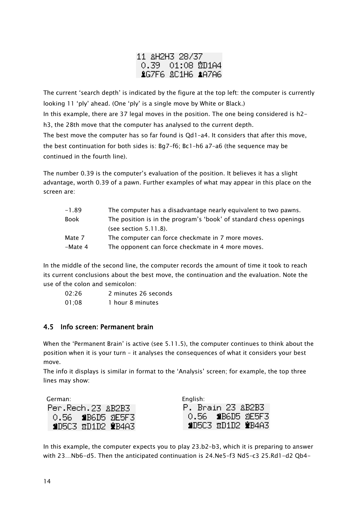|  | 11 &H2H3 28/37       |  |
|--|----------------------|--|
|  | $0.39$ $01:08$ 2D1A4 |  |
|  | LG7F6 &C1H6 LA7A6    |  |

The current 'search depth' is indicated by the figure at the top left: the computer is currently looking 11 'ply' ahead. (One 'ply' is a single move by White or Black.) In this example, there are 37 legal moves in the position. The one being considered is h2 h3, the 28th move that the computer has analysed to the current depth. The best move the computer has so far found is Qd1–a4. It considers that after this move, the best continuation for both sides is: Bg7–f6; Bc1–h6 a7–a6 (the sequence may be continued in the fourth line).

The number 0.39 is the computer's evaluation of the position. It believes it has a slight advantage, worth 0.39 of a pawn. Further examples of what may appear in this place on the screen are:

| $-1.89$     | The computer has a disadvantage nearly equivalent to two pawns.    |
|-------------|--------------------------------------------------------------------|
| <b>Book</b> | The position is in the program's 'book' of standard chess openings |
|             | (see section 5.11.8).                                              |
| Mate 7      | The computer can force checkmate in 7 more moves.                  |
| -Mate 4     | The opponent can force checkmate in 4 more moves.                  |

In the middle of the second line, the computer records the amount of time it took to reach its current conclusions about the best move, the continuation and the evaluation. Note the use of the colon and semicolon:

| 02:26 | 2 minutes 26 seconds |
|-------|----------------------|
| 01;08 | 1 hour 8 minutes     |

# <span id="page-13-0"></span>4.5 Info screen: Permanent brain

When the 'Permanent Brain' is active (see [5.11.5\)](#page-21-2), the computer continues to think about the position when it is your turn – it analyses the consequences of what it considers your best move.

The info it displays is similar in format to the 'Analysis' screen; for example, the top three lines may show:

| German: I           | English:                     |
|---------------------|------------------------------|
| Per.Rech.23 &B2B3   | <b>P. Brain 23 &amp;B2B3</b> |
| 0.56 SB6D5 2E5F3    | 0.56 \$B6D5 2E5F3            |
| \$D503 ¤D1D2 \$B4A3 | SD503 RD1D2 SB4A3            |

In this example, the computer expects you to play 23.b2–b3, which it is preparing to answer with 23…Nb6-d5. Then the anticipated continuation is 24.Ne5–f3 Nd5–c3 25.Rd1-d2 Qb4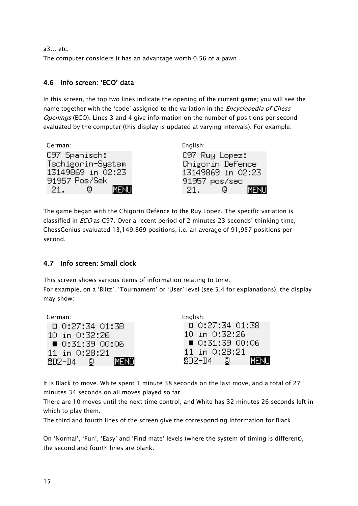a3… etc.

<span id="page-14-0"></span>The computer considers it has an advantage worth 0.56 of a pawn.

### 4.6 Info screen: 'ECO' data

In this screen, the top two lines indicate the opening of the current game; you will see the name together with the 'code' assigned to the variation in the *Encyclopedia of Chess* Openings (ECO). Lines 3 and 4 give information on the number of positions per second evaluated by the computer (this display is updated at varying intervals). For example:

| German:           | English:            |
|-------------------|---------------------|
| C97 Spanisch:     | C97 Ruy Lopez:      |
| Tschigorin-System | Chigorin Defence    |
| 13149869 in 02:23 | 13149869 in 02:23   |
| 91957 Pos/Sek     | 91957 pos/sec       |
| ☺.<br>21.         | MENH<br>☺.<br>-21 - |

The game began with the Chigorin Defence to the Ruy Lopez. The specific variation is classified in ECO as C97. Over a recent period of 2 minutes 23 seconds' thinking time, ChessGenius evaluated 13,149,869 positions, i.e. an average of 91,957 positions per second.

# <span id="page-14-1"></span>4.7 Info screen: Small clock

This screen shows various items of information relating to time.

For example, on a 'Blitz', 'Tournament' or 'User' level (see [5.4](#page-16-0) for explanations), the display may show:

| German:                      | English:                     |
|------------------------------|------------------------------|
| $D$ 0:27:34 01:38            | $\Box$ 0:27:34 01:38         |
| 10 in 0:32:26                | 10 in 0:32:26                |
| $\blacksquare$ 0:31:39 00:06 | $\blacksquare$ 0:31:39 00:06 |
| 11 in 0:28:21                | 11 in 0:28:21                |
| MENÜ<br>202-04 ©             | MD2-D4 ©<br>MENH             |

It is Black to move. White spent 1 minute 38 seconds on the last move, and a total of 27 minutes 34 seconds on all moves played so far.

There are 10 moves until the next time control, and White has 32 minutes 26 seconds left in which to play them.

The third and fourth lines of the screen give the corresponding information for Black.

On 'Normal', 'Fun', 'Easy' and 'Find mate' levels (where the system of timing is different), the second and fourth lines are blank.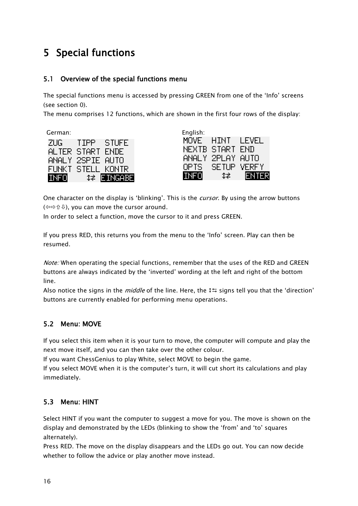# <span id="page-15-0"></span>5 Special functions

# <span id="page-15-1"></span>5.1 Overview of the special functions menu

The special functions menu is accessed by pressing GREEN from one of the 'Info' screens (see section [0\)](#page-12-5).

The menu comprises 12 functions, which are shown in the first four rows of the display:

German:

| ZUG I       | TIPP        | STUFE       |
|-------------|-------------|-------------|
| ALTER.      | START       | <b>ENDE</b> |
| ANALY.      | 2SPIE.      | AUTO        |
| FUNKT.      | STELL KONTR |             |
| <b>INFO</b> |             | ‡≱ EINGABE  |

| English:    |        |              |
|-------------|--------|--------------|
| MOVE.       | HINT   | LEVEL        |
| NEXTB       | START  | <b>END</b>   |
| ANALY.      | 2PLAY  | <b>AUTO</b>  |
| OPTS.       | SE TUP | <b>VERFY</b> |
| <b>INFO</b> | 1≢.    | ENTER        |

One character on the display is 'blinking'. This is the *cursor*. By using the arrow buttons (⇔⇔û ↓), you can move the cursor around.

In order to select a function, move the cursor to it and press GREEN.

If you press RED, this returns you from the menu to the 'Info' screen. Play can then be resumed.

Note: When operating the special functions, remember that the uses of the RED and GREEN buttons are always indicated by the 'inverted' wording at the left and right of the bottom line.

Also notice the signs in the *middle* of the line. Here, the  $15$  signs tell you that the 'direction' buttons are currently enabled for performing menu operations.

# <span id="page-15-2"></span>5.2 Menu: MOVE

If you select this item when it is your turn to move, the computer will compute and play the next move itself, and you can then take over the other colour.

If you want ChessGenius to play White, select MOVE to begin the game.

If you select MOVE when it is the computer's turn, it will cut short its calculations and play immediately.

# <span id="page-15-3"></span>5.3 Menu: HINT

Select HINT if you want the computer to suggest a move for you. The move is shown on the display and demonstrated by the LEDs (blinking to show the 'from' and 'to' squares alternately).

Press RED. The move on the display disappears and the LEDs go out. You can now decide whether to follow the advice or play another move instead.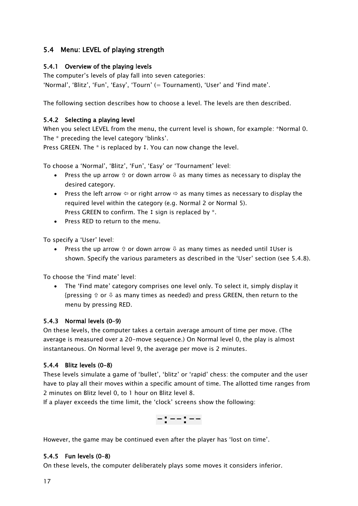# <span id="page-16-0"></span>5.4 Menu: LEVEL of playing strength

#### <span id="page-16-1"></span>5.4.1 Overview of the playing levels

The computer's levels of play fall into seven categories: 'Normal', 'Blitz', 'Fun', 'Easy', 'Tourn' (= Tournament), 'User' and 'Find mate'.

<span id="page-16-2"></span>The following section describes how to choose a level. The levels are then described.

#### 5.4.2 Selecting a playing level

When you select LEVEL from the menu, the current level is shown, for example: \*Normal 0. The \* preceding the level category 'blinks'.

Press GREEN. The  $*$  is replaced by  $t$ . You can now change the level.

To choose a 'Normal', 'Blitz', 'Fun', 'Easy' or 'Tournament' level:

- Press the up arrow  $\hat{v}$  or down arrow  $\theta$  as many times as necessary to display the desired category.
- Press the left arrow  $\Leftrightarrow$  or right arrow  $\Leftrightarrow$  as many times as necessary to display the required level within the category (e.g. Normal 2 or Normal 5). Press GREEN to confirm. The  $t$  sign is replaced by  $*$ .
- Press RED to return to the menu.

To specify a 'User' level:

Press the up arrow  $\hat{v}$  or down arrow  $\hat{v}$  as many times as needed until #User is shown. Specify the various parameters as described in the 'User' section (see [5.4.8\)](#page-17-2).

To choose the 'Find mate' level:

 The 'Find mate' category comprises one level only. To select it, simply display it {pressing  $\hat{v}$  or  $\theta$  as many times as needed) and press GREEN, then return to the menu by pressing RED.

#### <span id="page-16-3"></span>5.4.3 Normal levels (0–9)

On these levels, the computer takes a certain average amount of time per move. (The average is measured over a 20-move sequence.) On Normal level 0, the play is almost instantaneous. On Normal level 9, the average per move is 2 minutes.

#### <span id="page-16-4"></span>5.4.4 Blitz levels (0–8)

These levels simulate a game of 'bullet', 'blitz' or 'rapid' chess: the computer and the user have to play all their moves within a specific amount of time. The allotted time ranges from 2 minutes on Blitz level 0, to 1 hour on Blitz level 8.

If a player exceeds the time limit, the 'clock' screens show the following:



<span id="page-16-5"></span>However, the game may be continued even after the player has 'lost on time'.

#### 5.4.5 Fun levels (0–8)

On these levels, the computer deliberately plays some moves it considers inferior.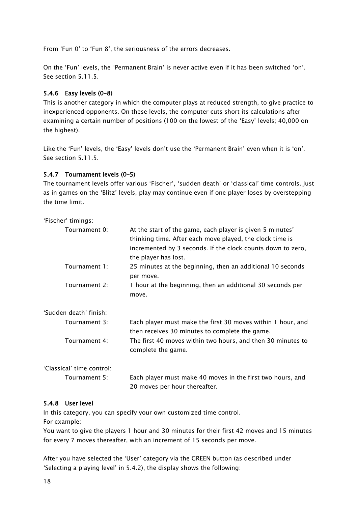From 'Fun 0' to 'Fun 8', the seriousness of the errors decreases.

On the 'Fun' levels, the "Permanent Brain' is never active even if it has been switched 'on'. See section [5.11.5.](#page-21-2)

#### <span id="page-17-0"></span>5.4.6 Easy levels (0–8)

This is another category in which the computer plays at reduced strength, to give practice to inexperienced opponents. On these levels, the computer cuts short its calculations after examining a certain number of positions (100 on the lowest of the 'Easy' levels; 40,000 on the highest).

Like the 'Fun' levels, the 'Easy' levels don't use the 'Permanent Brain' even when it is 'on'. See section [5.11.5.](#page-21-2)

#### <span id="page-17-1"></span>5.4.7 Tournament levels (0–5)

The tournament levels offer various 'Fischer', 'sudden death' or 'classical' time controls. Just as in games on the 'Blitz' levels, play may continue even if one player loses by overstepping the time limit.

'Fischer' timings:

| Tournament 0:             | At the start of the game, each player is given 5 minutes'<br>thinking time. After each move played, the clock time is<br>incremented by 3 seconds. If the clock counts down to zero,<br>the player has lost. |
|---------------------------|--------------------------------------------------------------------------------------------------------------------------------------------------------------------------------------------------------------|
| Tournament 1:             | 25 minutes at the beginning, then an additional 10 seconds<br>per move.                                                                                                                                      |
| Tournament 2:             | 1 hour at the beginning, then an additional 30 seconds per<br>move.                                                                                                                                          |
| 'Sudden death' finish:    |                                                                                                                                                                                                              |
| Tournament 3:             | Each player must make the first 30 moves within 1 hour, and<br>then receives 30 minutes to complete the game.                                                                                                |
| Tournament 4:             | The first 40 moves within two hours, and then 30 minutes to<br>complete the game.                                                                                                                            |
| 'Classical' time control: |                                                                                                                                                                                                              |
| Tournament 5:             | Each player must make 40 moves in the first two hours, and<br>20 moves per hour thereafter.                                                                                                                  |

#### <span id="page-17-2"></span>5.4.8 User level

In this category, you can specify your own customized time control.

For example:

You want to give the players 1 hour and 30 minutes for their first 42 moves and 15 minutes for every 7 moves thereafter, with an increment of 15 seconds per move.

After you have selected the 'User' category via the GREEN button (as described under 'Selecting a playing level' in [5.4.2\)](#page-16-2), the display shows the following: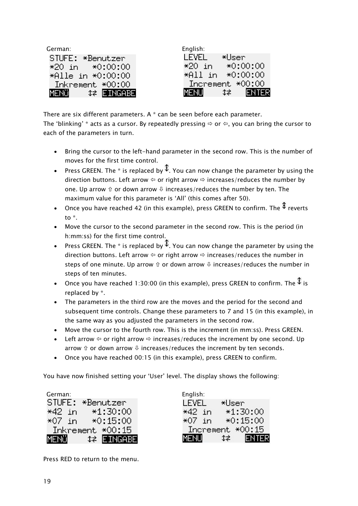| German:                 | English:               |
|-------------------------|------------------------|
| STUFE: *Benutzer        | I FVFI.<br>*Usen.      |
| $*20$ in $*0:00:00$     | $*0:00:00$<br>$*20$ in |
| $*$ Alle in $*$ 0:00:00 | $*$ All in $*$ 0:00:00 |
| Inkrement *00:00        | Increment *00:00       |
| MENÜLL<br>‡ EINGABE     | MENU<br>∕‡≢ 7<br>ΈR    |

There are six different parameters. A \* can be seen before each parameter. The 'blinking'  $*$  acts as a cursor. By repeatedly pressing  $\Rightarrow$  or  $\Leftrightarrow$ , you can bring the cursor to each of the parameters in turn.

- Bring the cursor to the left-hand parameter in the second row. This is the number of moves for the first time control.
- Press GREEN. The \* is replaced by  $\frac{1}{4}$ . You can now change the parameter by using the direction buttons. Left arrow  $\Leftrightarrow$  or right arrow  $\Leftrightarrow$  increases/reduces the number by one. Up arrow  $\hat{v}$  or down arrow  $\theta$  increases/reduces the number by ten. The maximum value for this parameter is 'All' (this comes after 50).
- Once you have reached 42 (in this example), press GREEN to confirm. The  $\ddot{\bm{\xi}}$  reverts to \*.
- Move the cursor to the second parameter in the second row. This is the period (in h:mm:ss) for the first time control.
- Press GREEN. The \* is replaced by  $\ddot{\ddot{}}$ . You can now change the parameter by using the direction buttons. Left arrow  $\Leftrightarrow$  or right arrow  $\Leftrightarrow$  increases/reduces the number in steps of one minute. Up arrow  $\hat{v}$  or down arrow  $\hat{v}$  increases/reduces the number in steps of ten minutes.
- Once you have reached 1:30:00 (in this example), press GREEN to confirm. The  $\frac{1}{3}$  is replaced by \*.
- The parameters in the third row are the moves and the period for the second and subsequent time controls. Change these parameters to 7 and 15 (in this example), in the same way as you adjusted the parameters in the second row.
- Move the cursor to the fourth row. This is the increment (in mm:ss). Press GREEN.
- Left arrow  $\Leftrightarrow$  or right arrow  $\Leftrightarrow$  increases/reduces the increment by one second. Up arrow  $\hat{v}$  or down arrow  $\hat{v}$  increases/reduces the increment by ten seconds.
- Once you have reached 00:15 (in this example), press GREEN to confirm.

You have now finished setting your 'User' level. The display shows the following:

German: STUFE: \*Benutzer  $*1:30:00$ \*42 in \*07 in l  $*0:15:00$ Inkrement \*00:15 MENOL **CEINGABE** 

| English: |                  |
|----------|------------------|
| LEVEL    | *User            |
| *42 in   | $*1:30:00$       |
| *O7 in   | $*0:15:00$       |
|          | Increment *00:15 |
| MENU     | ENTER<br>t≠ i    |

Press RED to return to the menu.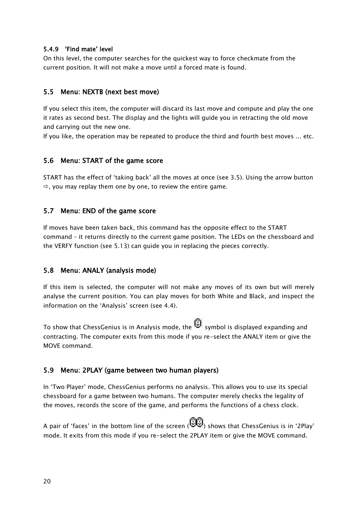#### <span id="page-19-0"></span>5.4.9 'Find mate' level

On this level, the computer searches for the quickest way to force checkmate from the current position. It will not make a move until a forced mate is found.

#### <span id="page-19-1"></span>5.5 Menu: NEXTB (next best move)

If you select this item, the computer will discard its last move and compute and play the one it rates as second best. The display and the lights will guide you in retracting the old move and carrying out the new one.

<span id="page-19-2"></span>If you like, the operation may be repeated to produce the third and fourth best moves ... etc.

#### 5.6 Menu: START of the game score

START has the effect of 'taking back' all the moves at once (see [3.5\)](#page-10-2). Using the arrow button  $\Rightarrow$ , you may replay them one by one, to review the entire game.

#### <span id="page-19-3"></span>5.7 Menu: END of the game score

If moves have been taken back, this command has the opposite effect to the START command – it returns directly to the current game position. The LEDs on the chessboard and the VERFY function (see [5.13\)](#page-24-0) can guide you in replacing the pieces correctly.

#### <span id="page-19-4"></span>5.8 Menu: ANALY (analysis mode)

If this item is selected, the computer will not make any moves of its own but will merely analyse the current position. You can play moves for both White and Black, and inspect the information on the 'Analysis' screen (see [4.4\)](#page-12-4).

To show that ChessGenius is in Analysis mode, the  $\bigcirc$  symbol is displayed expanding and contracting. The computer exits from this mode if you re-select the ANALY item or give the MOVE command.

#### <span id="page-19-5"></span>5.9 Menu: 2PLAY (game between two human players)

In 'Two Player' mode, ChessGenius performs no analysis. This allows you to use its special chessboard for a game between two humans. The computer merely checks the legality of the moves, records the score of the game, and performs the functions of a chess clock.

A pair of 'faces' in the bottom line of the screen ( $\dddot{\bullet}$ ) shows that ChessGenius is in '2Play' mode. It exits from this mode if you re-select the 2PLAY item or give the MOVE command.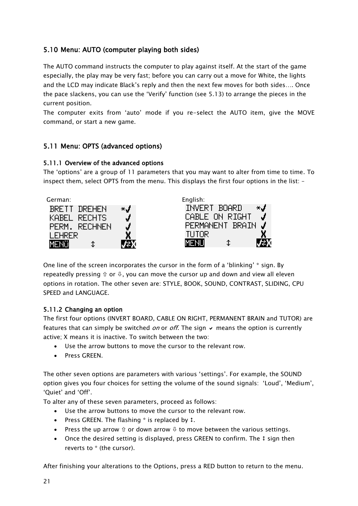# <span id="page-20-0"></span>5.10 Menu: AUTO (computer playing both sides)

The AUTO command instructs the computer to play against itself. At the start of the game especially, the play may be very fast; before you can carry out a move for White, the lights and the LCD may indicate Black's reply and then the next few moves for both sides…. Once the pace slackens, you can use the 'Verify' function (see [5.13\)](#page-24-0) to arrange the pieces in the current position.

The computer exits from 'auto' mode if you re-select the AUTO item, give the MOVE command, or start a new game.

# <span id="page-20-1"></span>5.11 Menu: OPTS (advanced options)

#### <span id="page-20-2"></span>5.11.1 Overview of the advanced options

The 'options' are a group of 11 parameters that you may want to alter from time to time. To inspect them, select OPTS from the menu. This displays the first four options in the list: –



One line of the screen incorporates the cursor in the form of a 'blinking' \* sign. By repeatedly pressing  $\hat{v}$  or  $\theta$ , you can move the cursor up and down and view all eleven options in rotation. The other seven are: STYLE, BOOK, SOUND, CONTRAST, SLIDING, CPU SPEED and LANGUAGE.

#### <span id="page-20-3"></span>5.11.2 Changing an option

The first four options (INVERT BOARD, CABLE ON RIGHT, PERMANENT BRAIN and TUTOR) are features that can simply be switched *on* or *off*. The sign  $\vee$  means the option is currently active; X means it is inactive. To switch between the two:

- Use the arrow buttons to move the cursor to the relevant row.
- Press GREEN.

The other seven options are parameters with various 'settings'. For example, the SOUND option gives you four choices for setting the volume of the sound signals: 'Loud', 'Medium', 'Quiet' and 'Off'.

To alter any of these seven parameters, proceed as follows:

- Use the arrow buttons to move the cursor to the relevant row.
- Press GREEN. The flashing  $*$  is replaced by  $\ddagger$ .
- Press the up arrow  $\hat{v}$  or down arrow  $\theta$  to move between the various settings.
- Once the desired setting is displayed, press GREEN to confirm. The  $t$  sign then reverts to \* (the cursor).

After finishing your alterations to the Options, press a RED button to return to the menu.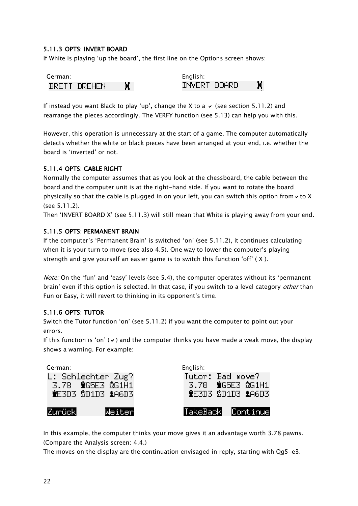#### <span id="page-21-0"></span>5.11.3 OPTS: INVERT BOARD

If White is playing 'up the board', the first line on the Options screen shows:

| German:      |  | English:     |  |
|--------------|--|--------------|--|
| BRETT DREHEN |  | INVERT BOARD |  |

If instead you want Black to play 'up', change the X to a  $\vee$  (see section [5.11.2\)](#page-20-3) and rearrange the pieces accordingly. The VERFY function (see [5.13\)](#page-24-0) can help you with this.

However, this operation is unnecessary at the start of a game. The computer automatically detects whether the white or black pieces have been arranged at your end, i.e. whether the board is 'inverted' or not.

#### <span id="page-21-1"></span>5.11.4 OPTS: CABLE RIGHT

Normally the computer assumes that as you look at the chessboard, the cable between the board and the computer unit is at the right-hand side. If you want to rotate the board physically so that the cable is plugged in on your left, you can switch this option from  $\vee$  to X (see [5.11.2\)](#page-20-3).

<span id="page-21-2"></span>Then 'INVERT BOARD X' (see [5.11.3\)](#page-21-0) will still mean that White is playing away from your end.

#### 5.11.5 OPTS: PERMANENT BRAIN

If the computer's 'Permanent Brain' is switched 'on' (see [5.11.2\)](#page-20-3), it continues calculating when it is your turn to move (see also [4.5](#page-13-0)). One way to lower the computer's playing strength and give yourself an easier game is to switch this function 'off' ( X ).

Note: On the 'fun' and 'easy' levels (see [5.4\)](#page-16-0), the computer operates without its 'permanent brain' even if this option is selected. In that case, if you switch to a level category *other* than Fun or Easy, it will revert to thinking in its opponent's time.

#### <span id="page-21-3"></span>5.11.6 OPTS: TUTOR

Switch the Tutor function 'on' (see [5.11.2\)](#page-20-3) if you want the computer to point out your errors.

If this function is 'on' ( $\vee$ ) and the computer thinks you have made a weak move, the display shows a warning. For example:

| German:        | L: Schlechter Zug?<br>3.78 MG5E3 2G1H1<br><b>NE3D3 2D1D3 &amp;A6D3</b> | English:<br>Tutor: Bad move? | 3.78 MG5E3 QG1H1<br><b>WEBDE ND1DB &amp;A6DB</b> |
|----------------|------------------------------------------------------------------------|------------------------------|--------------------------------------------------|
| <b>Zurückl</b> | Weiter                                                                 |                              | TakeBack Continue                                |

In this example, the computer thinks your move gives it an advantage worth 3.78 pawns. (Compare the Analysis screen: [4.4.](#page-12-4))

The moves on the display are the continuation envisaged in reply, starting with Qg5-e3.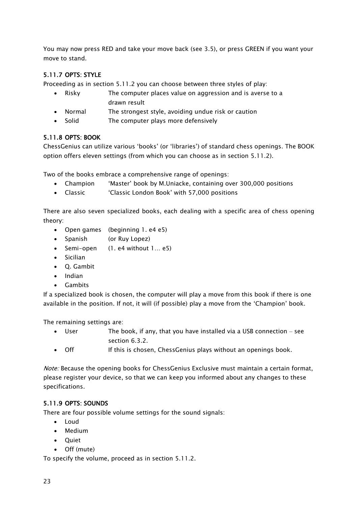You may now press RED and take your move back (see [3.5\)](#page-10-2), or press GREEN if you want your move to stand.

# <span id="page-22-0"></span>5.11.7 OPTS: STYLE

Proceeding as in section [5.11.2](#page-20-3) you can choose between three styles of play:

- Risky The computer places value on aggression and is averse to a drawn result
- Normal The strongest style, avoiding undue risk or caution
- Solid The computer plays more defensively

#### <span id="page-22-1"></span>5.11.8 OPTS: BOOK

ChessGenius can utilize various 'books' (or 'libraries') of standard chess openings. The BOOK option offers eleven settings (from which you can choose as in section [5.11.2\)](#page-20-3).

Two of the books embrace a comprehensive range of openings:

- Champion 'Master' book by M.Uniacke, containing over 300,000 positions
- Classic 'Classic London Book' with 57,000 positions

There are also seven specialized books, each dealing with a specific area of chess opening theory:

- Open games (beginning 1. e4 e5)
- Spanish (or Ruy Lopez)
- Semi-open (1. e4 without 1… e5)
- Sicilian
- Q. Gambit
- Indian
- Gambits

If a specialized book is chosen, the computer will play a move from this book if there is one available in the position. If not, it will (if possible) play a move from the 'Champion' book.

The remaining settings are:

- User The book, if any, that you have installed via a USB connection see section [6.3.2.](#page-28-2)
- Off If this is chosen, ChessGenius plays without an openings book.

Note: Because the opening books for ChessGenius Exclusive must maintain a certain format, please register your device, so that we can keep you informed about any changes to these specifications.

#### <span id="page-22-2"></span>5.11.9 OPTS: SOUNDS

There are four possible volume settings for the sound signals:

- Loud
- Medium
- Ouiet
- Off (mute)

To specify the volume, proceed as in section [5.11.2.](#page-20-3)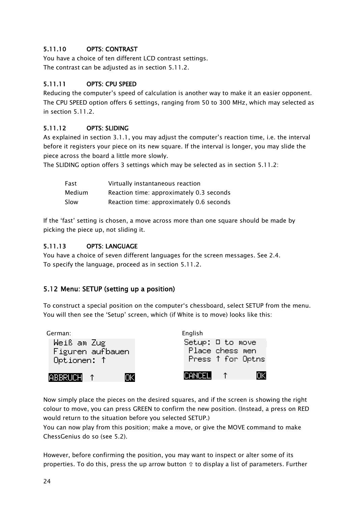# <span id="page-23-0"></span>5.11.10 OPTS: CONTRAST

You have a choice of ten different LCD contrast settings. The contrast can be adjusted as in section [5.11.2.](#page-20-3)

#### <span id="page-23-1"></span>5.11.11 OPTS: CPU SPEED

Reducing the computer's speed of calculation is another way to make it an easier opponent. The CPU SPEED option offers 6 settings, ranging from 50 to 300 MHz, which may selected as in section [5.11.2.](#page-20-3)

#### <span id="page-23-2"></span>5.11.12 OPTS: SLIDING

As explained in section [3.1.1](#page-9-2), you may adjust the computer's reaction time, i.e. the interval before it registers your piece on its new square. If the interval is longer, you may slide the piece across the board a little more slowly.

The SLIDING option offers 3 settings which may be selected as in section [5.11.2:](#page-20-3)

| Fast          | Virtually instantaneous reaction         |
|---------------|------------------------------------------|
| <b>Medium</b> | Reaction time: approximately 0.3 seconds |
| Slow          | Reaction time: approximately 0.6 seconds |

If the 'fast' setting is chosen, a move across more than one square should be made by picking the piece up, not sliding it.

#### <span id="page-23-3"></span>5.11.13 OPTS: LANGUAGE

You have a choice of seven different languages for the screen messages. See [2.4.](#page-7-0) To specify the language, proceed as in section [5.11.2.](#page-20-3)

# <span id="page-23-4"></span>5.12 Menu: SETUP (setting up a position)

To construct a special position on the computer's chessboard, select SETUP from the menu. You will then see the 'Setup' screen, which (if White is to move) looks like this:



Now simply place the pieces on the desired squares, and if the screen is showing the right colour to move, you can press GREEN to confirm the new position. (Instead, a press on RED would return to the situation before you selected SETUP.)

You can now play from this position; make a move, or give the MOVE command to make ChessGenius do so (see [5.2\)](#page-15-2).

However, before confirming the position, you may want to inspect or alter some of its properties. To do this, press the up arrow button  $\hat{v}$  to display a list of parameters. Further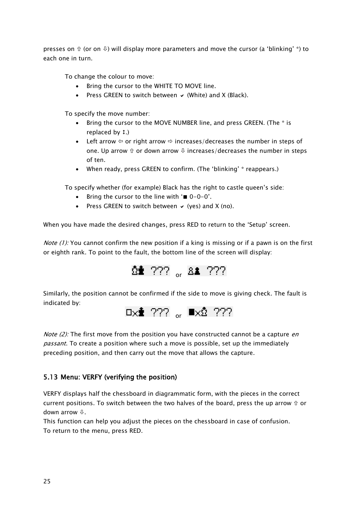presses on  $\hat{v}$  (or on  $\hat{v}$ ) will display more parameters and move the cursor (a 'blinking' \*) to each one in turn.

To change the colour to move:

- Bring the cursor to the WHITE TO MOVE line.
- Press GREEN to switch between  $\vee$  (White) and X (Black).

To specify the move number:

- Bring the cursor to the MOVE NUMBER line, and press GREEN. (The \* is replaced by  $\ddagger$ .)
- Left arrow  $\Leftrightarrow$  or right arrow  $\Leftrightarrow$  increases/decreases the number in steps of one. Up arrow  $\hat{v}$  or down arrow  $\theta$  increases/decreases the number in steps of ten.
- When ready, press GREEN to confirm. (The 'blinking' \* reappears.)

To specify whether (for example) Black has the right to castle queen's side:

- Bring the cursor to the line with  $\equiv 0-0-0$ .
- Press GREEN to switch between  $\vee$  (yes) and X (no).

When you have made the desired changes, press RED to return to the 'Setup' screen.

*Note (1):* You cannot confirm the new position if a king is missing or if a pawn is on the first or eighth rank. To point to the fault, the bottom line of the screen will display:



Similarly, the position cannot be confirmed if the side to move is giving check. The fault is indicated by:



*Note (2):* The first move from the position you have constructed cannot be a capture *en passant*. To create a position where such a move is possible, set up the immediately preceding position, and then carry out the move that allows the capture.

# <span id="page-24-0"></span>5.13 Menu: VERFY (verifying the position)

VERFY displays half the chessboard in diagrammatic form, with the pieces in the correct current positions. To switch between the two halves of the board, press the up arrow  $\hat{u}$  or down arrow  $\mathcal{V}$ .

This function can help you adjust the pieces on the chessboard in case of confusion. To return to the menu, press RED.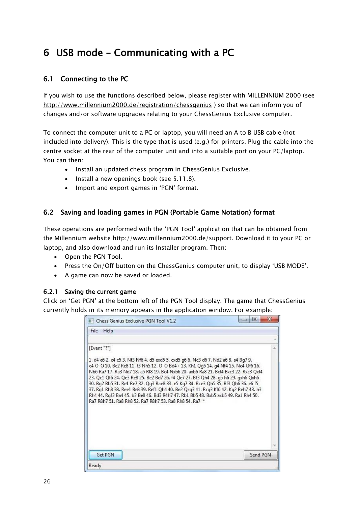# <span id="page-25-0"></span>6 USB mode – Communicating with a PC

# <span id="page-25-1"></span>6.1 Connecting to the PC

If you wish to use the functions described below, please register with MILLENNIUM 2000 (see <http://www.millennium2000.de/registration/chessgenius> ) so that we can inform you of changes and/or software upgrades relating to your ChessGenius Exclusive computer.

To connect the computer unit to a PC or laptop, you will need an A to B USB cable (not included into delivery). This is the type that is used (e.g.) for printers. Plug the cable into the centre socket at the rear of the computer unit and into a suitable port on your PC/laptop. You can then:

- Install an updated chess program in ChessGenius Exclusive.
- Install a new openings book (see [5.11.8\)](#page-22-1).
- Import and export games in 'PGN' format.

# <span id="page-25-2"></span>6.2 Saving and loading games in PGN (Portable Game Notation) format

These operations are performed with the 'PGN Tool' application that can be obtained from the Millennium website [http://www.millennium2000.de/support.](http://www.millennium2000.de/support) Download it to your PC or laptop, and also download and run its Installer program. Then:

- Open the PGN Tool.
- Press the On/Off button on the ChessGenius computer unit, to display 'USB MODE'.
- A game can now be saved or loaded.

#### <span id="page-25-3"></span>6.2.1 Saving the current game

Click on 'Get PGN' at the bottom left of the PGN Tool display. The game that ChessGenius currently holds in its memory appears in the application window. For example:

| Chess Genius Exclusive PGN Tool V1.2                                                                                                                                                                                                                                                                                                                                                                                                                                                                                                                                                                                                                                                 | 回        |
|--------------------------------------------------------------------------------------------------------------------------------------------------------------------------------------------------------------------------------------------------------------------------------------------------------------------------------------------------------------------------------------------------------------------------------------------------------------------------------------------------------------------------------------------------------------------------------------------------------------------------------------------------------------------------------------|----------|
| File<br>Help                                                                                                                                                                                                                                                                                                                                                                                                                                                                                                                                                                                                                                                                         |          |
|                                                                                                                                                                                                                                                                                                                                                                                                                                                                                                                                                                                                                                                                                      |          |
| [Event "?"]                                                                                                                                                                                                                                                                                                                                                                                                                                                                                                                                                                                                                                                                          |          |
| 1. d4 e6 2. c4 c5 3. Nf3 Nf6 4. d5 exd5 5. cxd5 q6 6. Nc3 d6 7. Nd2 a6 8. a4 Bq7 9.<br>e4 O-O 10, Be2 Re8 11, f3 Nh5 12, O-O Bd4+ 13, Kh1 Qq5 14, q4 Nf4 15, Nc4 Qf6 16,<br>Nb6 Ra7 17, Ra3 Nd7 18, a5 Rf8 19, Bc4 Nxb6 20, axb6 Ra8 21, Bxf4 Bxc3 22, Rxc3 Oxf4<br>23. Qc1 Qf6 24. Qe3 Re8 25. Be2 Bd7 26. f4 Qe7 27. Bf3 Qh4 28. g5 h6 29. gxh6 Qxh6<br>30. Bq2 Bb5 31. Re1 Re7 32. Qq3 Rae8 33. e5 Kq7 34. Rce3 Qh5 35. Bf3 Qh6 36. e6 f5<br>37. Rq1 Rh8 38. Ree1 Be8 39. Ref1 Qh4 40. Be2 Qxq3 41. Rxq3 Kf6 42. Kq2 Reh7 43. h3<br>Rh4 44. Rqf3 Ba4 45. b3 Be8 46. Bd3 R4h7 47. Rb1 Bb5 48. Bxb5 axb5 49. Ra1 Rh4 50.<br>Ra7 R8h7 51, Ra8 Rh8 52, Ra7 R8h7 53, Ra8 Rh8 54, Ra7 * |          |
|                                                                                                                                                                                                                                                                                                                                                                                                                                                                                                                                                                                                                                                                                      |          |
| Get PGN                                                                                                                                                                                                                                                                                                                                                                                                                                                                                                                                                                                                                                                                              | Send PGN |
| Ready                                                                                                                                                                                                                                                                                                                                                                                                                                                                                                                                                                                                                                                                                |          |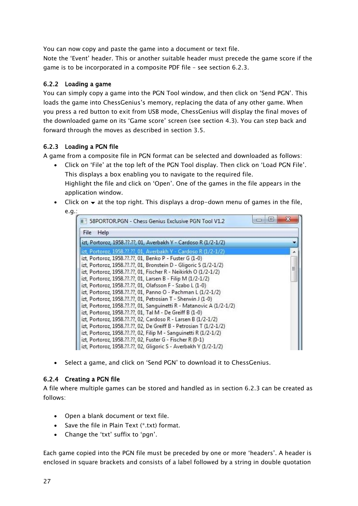You can now copy and paste the game into a document or text file.

Note the 'Event' header. This or another suitable header must precede the game score if the game is to be incorporated in a composite PDF file – see section [6.2.3.](#page-26-1)

#### <span id="page-26-0"></span>6.2.2 Loading a game

You can simply copy a game into the PGN Tool window, and then click on 'Send PGN'. This loads the game into ChessGenius's memory, replacing the data of any other game. When you press a red button to exit from USB mode, ChessGenius will display the final moves of the downloaded game on its 'Game score' screen (see section [4.3\)](#page-12-3). You can step back and forward through the moves as described in section [3.5.](#page-10-2)

#### <span id="page-26-1"></span>6.2.3 Loading a PGN file

A game from a composite file in PGN format can be selected and downloaded as follows:

- Click on 'File' at the top left of the PGN Tool display. Then click on 'Load PGN File'. This displays a box enabling you to navigate to the required file. Highlight the file and click on 'Open'. One of the games in the file appears in the application window.
- $\bullet$  Click on  $\bullet$  at the top right. This displays a drop-down menu of games in the file, e.g.:

| 58PORTOR.PGN - Chess Genius Exclusive PGN Tool V1.2                  | l ca |
|----------------------------------------------------------------------|------|
| Help<br>File                                                         |      |
| izt, Portoroz, 1958.??.??, 01, Averbakh Y - Cardoso R (1/2-1/2)      |      |
| izt, Portoroz, 1958.??.??, 01, Averbakh Y - Cardoso R (1/2-1/2)      |      |
| izt, Portoroz, 1958.??.??, 01, Benko P - Fuster G (1-0)              |      |
| izt, Portoroz, 1958. ??. ??, 01, Bronstein D - Gligoric S (1/2-1/2)  | Ξ    |
| izt, Portoroz, 1958.??.??, 01, Fischer R - Neikirkh O (1/2-1/2)      |      |
| izt, Portoroz, 1958. ??. ??, 01, Larsen B - Filip M (1/2-1/2)        |      |
| izt, Portoroz, 1958. ??.??, 01, Olafsson F - Szabo L (1-0)           |      |
| izt, Portoroz, 1958.??.??, 01, Panno O - Pachman L (1/2-1/2)         |      |
| izt, Portoroz, 1958. ??. ??, 01, Petrosian T - Sherwin J (1-0)       |      |
| izt, Portoroz, 1958.??.??, 01, Sanguinetti R - Matanovic A (1/2-1/2) |      |
| izt, Portoroz, 1958. ??.??, 01, Tal M - De Greiff B (1-0)            |      |
| izt, Portoroz, 1958.??.??, 02, Cardoso R - Larsen B (1/2-1/2)        |      |
| izt, Portoroz, 1958.??.??, 02, De Greiff B - Petrosian T (1/2-1/2)   |      |
| izt, Portoroz, 1958.??.??, 02, Filip M - Sanguinetti R (1/2-1/2)     |      |
| izt, Portoroz, 1958. ??. ??, 02, Fuster G - Fischer R (0-1)          |      |
| izt, Portoroz, 1958.??.??, 02, Gligoric S - Averbakh Y (1/2-1/2)     |      |

• Select a game, and click on 'Send PGN' to download it to ChessGenius.

#### <span id="page-26-2"></span>6.2.4 Creating a PGN file

A file where multiple games can be stored and handled as in section [6.2.3](#page-26-1) can be created as follows:

- Open a blank document or text file.
- $\bullet$  Save the file in Plain Text (\*.txt) format.
- Change the 'txt' suffix to 'pgn'.

Each game copied into the PGN file must be preceded by one or more 'headers'. A header is enclosed in square brackets and consists of a label followed by a string in double quotation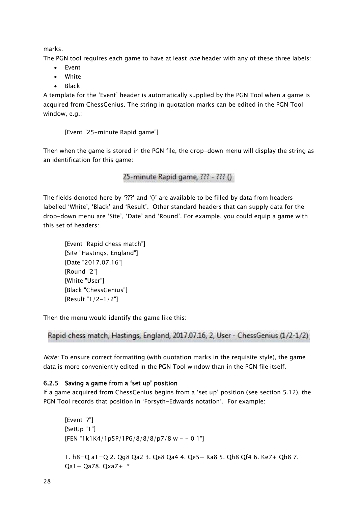marks.

The PGN tool requires each game to have at least *one* header with any of these three labels:

- Event
- White
- Black

A template for the 'Event' header is automatically supplied by the PGN Tool when a game is acquired from ChessGenius. The string in quotation marks can be edited in the PGN Tool window, e.g.:

[Event "25-minute Rapid game"]

Then when the game is stored in the PGN file, the drop-down menu will display the string as an identification for this game:

25-minute Rapid game, ??? - ??? ()

The fields denoted here by '???' and '()' are available to be filled by data from headers labelled 'White', 'Black' and 'Result'. Other standard headers that can supply data for the drop-down menu are 'Site', 'Date' and 'Round'. For example, you could equip a game with this set of headers:

[Event "Rapid chess match"] [Site "Hastings, England"] [Date "2017.07.16"] [Round "2"] [White "User"] [Black "ChessGenius"] [Result "1/2-1/2"]

Then the menu would identify the game like this:

```
Rapid chess match, Hastings, England, 2017.07.16, 2, User - ChessGenius (1/2-1/2)
```
Note: To ensure correct formatting (with quotation marks in the requisite style), the game data is more conveniently edited in the PGN Tool window than in the PGN file itself.

# <span id="page-27-0"></span>6.2.5 Saving a game from a 'set up' position

If a game acquired from ChessGenius begins from a 'set up' position (see section [5.12\)](#page-23-4), the PGN Tool records that position in 'Forsyth-Edwards notation'. For example:

```
[Event "?"]
[SetUp "1"]
[FEN "1k1K4/1p5P/1P6/8/8/8p7/8 w - 0 1"]1. h8=Q a1=Q 2. Qg8 Qa2 3. Qe8 Qa4 4. Qe5+ Ka8 5. Qh8 Qf4 6. Ke7+ Qb8 7. 
Qa1+ Qa78. Qxa7+ *
```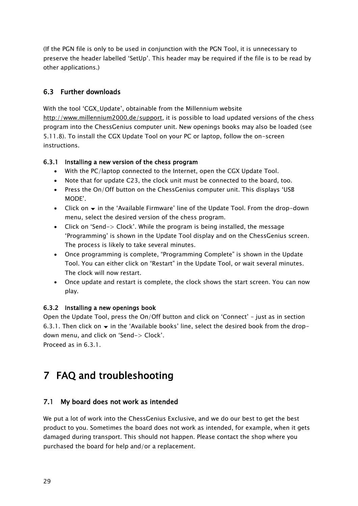(If the PGN file is only to be used in conjunction with the PGN Tool, it is unnecessary to preserve the header labelled 'SetUp'. This header may be required if the file is to be read by other applications.)

# <span id="page-28-0"></span>6.3 Further downloads

With the tool 'CGX\_Update', obtainable from the Millennium website [http://www.millennium2000.de/support,](http://www.millennium2000.de/support) it is possible to load updated versions of the chess program into the ChessGenius computer unit. New openings books may also be loaded (see [5.11.8\)](#page-22-1). To install the CGX Update Tool on your PC or laptop, follow the on-screen instructions.

# <span id="page-28-1"></span>6.3.1 Installing a new version of the chess program

- With the PC/laptop connected to the Internet, open the CGX Update Tool.
- Note that for update C23, the clock unit must be connected to the board, too.
- Press the On/Off button on the ChessGenius computer unit. This displays 'USB MODE'.
- $\bullet$  Click on  $\bullet$  in the 'Available Firmware' line of the Update Tool. From the drop-down menu, select the desired version of the chess program.
- Click on 'Send-> Clock'. While the program is being installed, the message 'Programming' is shown in the Update Tool display and on the ChessGenius screen. The process is likely to take several minutes.
- Once programming is complete, "Programming Complete" is shown in the Update Tool. You can either click on "Restart" in the Update Tool, or wait several minutes. The clock will now restart.
- Once update and restart is complete, the clock shows the start screen. You can now play.

# <span id="page-28-2"></span>6.3.2 Installing a new openings book

Open the Update Tool, press the On/Off button and click on 'Connect' – just as in section [6.3.1.](#page-28-1) Then click on  $\blacktriangleright$  in the 'Available books' line, select the desired book from the dropdown menu, and click on 'Send-> Clock'.

<span id="page-28-3"></span>Proceed as in [6.3.1.](#page-28-1)

# 7 FAQ and troubleshooting

# <span id="page-28-4"></span>7.1 My board does not work as intended

We put a lot of work into the ChessGenius Exclusive, and we do our best to get the best product to you. Sometimes the board does not work as intended, for example, when it gets damaged during transport. This should not happen. Please contact the shop where you purchased the board for help and/or a replacement.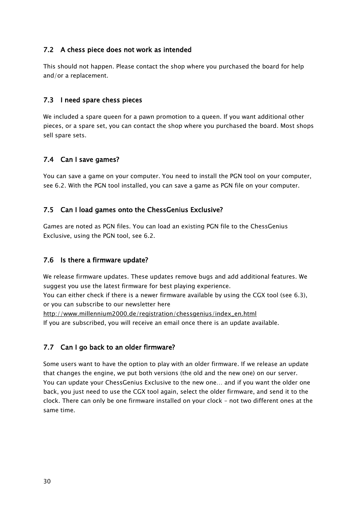# <span id="page-29-0"></span>7.2 A chess piece does not work as intended

This should not happen. Please contact the shop where you purchased the board for help and/or a replacement.

### <span id="page-29-1"></span>7.3 I need spare chess pieces

We included a spare queen for a pawn promotion to a queen. If you want additional other pieces, or a spare set, you can contact the shop where you purchased the board. Most shops sell spare sets.

#### <span id="page-29-2"></span>7.4 Can I save games?

<span id="page-29-3"></span>You can save a game on your computer. You need to install the PGN tool on your computer, see [6.2.](#page-25-2) With the PGN tool installed, you can save a game as PGN file on your computer.

#### 7.5 Can I load games onto the ChessGenius Exclusive?

Games are noted as PGN files. You can load an existing PGN file to the ChessGenius Exclusive, using the PGN tool, see [6.2.](#page-25-2)

# <span id="page-29-4"></span>7.6 Is there a firmware update?

We release firmware updates. These updates remove bugs and add additional features. We suggest you use the latest firmware for best playing experience.

You can either check if there is a newer firmware available by using the CGX tool (see [6.3\)](#page-28-0), or you can subscribe to our newsletter here

[http://www.millennium2000.de/registration/chessgenius/index\\_en.html](http://www.millennium2000.de/registration/chessgenius/index_en.html)

<span id="page-29-5"></span>If you are subscribed, you will receive an email once there is an update available.

# 7.7 Can I go back to an older firmware?

Some users want to have the option to play with an older firmware. If we release an update that changes the engine, we put both versions (the old and the new one) on our server. You can update your ChessGenius Exclusive to the new one… and if you want the older one back, you just need to use the CGX tool again, select the older firmware, and send it to the clock. There can only be one firmware installed on your clock – not two different ones at the same time.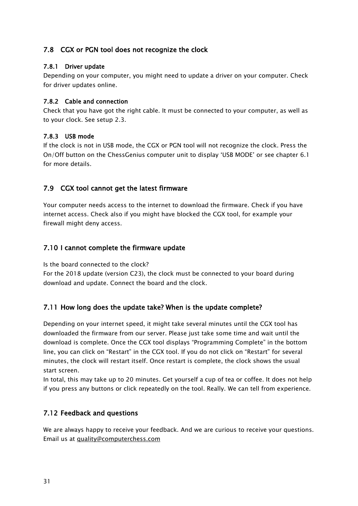# <span id="page-30-0"></span>7.8 CGX or PGN tool does not recognize the clock

#### <span id="page-30-1"></span>7.8.1 Driver update

Depending on your computer, you might need to update a driver on your computer. Check for driver updates online.

#### <span id="page-30-2"></span>7.8.2 Cable and connection

Check that you have got the right cable. It must be connected to your computer, as well as to your clock. See setup [2.3.](#page-6-0)

#### <span id="page-30-3"></span>7.8.3 USB mode

If the clock is not in USB mode, the CGX or PGN tool will not recognize the clock. Press the On/Off button on the ChessGenius computer unit to display 'USB MODE' or see chapter [6.1](#page-25-1) for more details.

# <span id="page-30-4"></span>7.9 CGX tool cannot get the latest firmware

Your computer needs access to the internet to download the firmware. Check if you have internet access. Check also if you might have blocked the CGX tool, for example your firewall might deny access.

# <span id="page-30-5"></span>7.10 I cannot complete the firmware update

Is the board connected to the clock?

For the 2018 update (version C23), the clock must be connected to your board during download and update. Connect the board and the clock.

# <span id="page-30-6"></span>7.11 How long does the update take? When is the update complete?

Depending on your internet speed, it might take several minutes until the CGX tool has downloaded the firmware from our server. Please just take some time and wait until the download is complete. Once the CGX tool displays "Programming Complete" in the bottom line, you can click on "Restart" in the CGX tool. If you do not click on "Restart" for several minutes, the clock will restart itself. Once restart is complete, the clock shows the usual start screen.

In total, this may take up to 20 minutes. Get yourself a cup of tea or coffee. It does not help if you press any buttons or click repeatedly on the tool. Really. We can tell from experience.

# <span id="page-30-7"></span>7.12 Feedback and questions

We are always happy to receive your feedback. And we are curious to receive your questions. Email us at [quality@computerchess.com](mailto:quality@computerchess.com)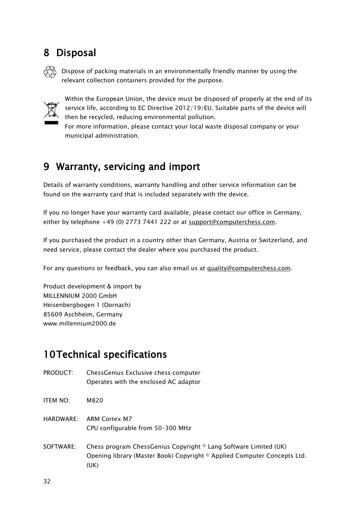# <span id="page-31-0"></span>8 Disposal



Dispose of packing materials in an environmentally friendly manner by using the relevant collection containers provided for the purpose.



Within the European Union, the device must be disposed of properly at the end of its service life, according to EC Directive 2012/19/EU. Suitable parts of the device will then be recycled, reducing environmental pollution.

For more information, please contact your local waste disposal company or your municipal administration.

# <span id="page-31-1"></span>9 Warranty, servicing and import

Details of warranty conditions, warranty handling and other service information can be found on the warranty card that is included separately with the device.

If you no longer have your warranty card available, please contact our office in Germany, either by telephone +49 (0) 2773 7441 222 or at [support@computerchess.com.](mailto:support@computerchess.com)

If you purchased the product in a country other than Germany, Austria or Switzerland, and need service, please contact the dealer where you purchased the product.

For any questions or feedback, you can also email us at [quality@computerchess.com.](mailto:quality@computerchess.com)

Product development & import by MILLENNIUM 2000 GmbH Heisenbergbogen 1 (Dornach) 85609 Aschheim, Germany www.millennium2000.de

# <span id="page-31-2"></span>10Technical specifications

- PRODUCT: ChessGenius Exclusive chess computer Operates with the enclosed AC adaptor
- ITEM NO: M820
- HARDWARE: ARM Cortex M7 CPU configurable from 50–300 MHz
- SOFTWARE: Chess program ChessGenius Copyright © Lang Software Limited (UK) Opening library (Master Book) Copyright © Applied Computer Concepts Ltd. (UK)